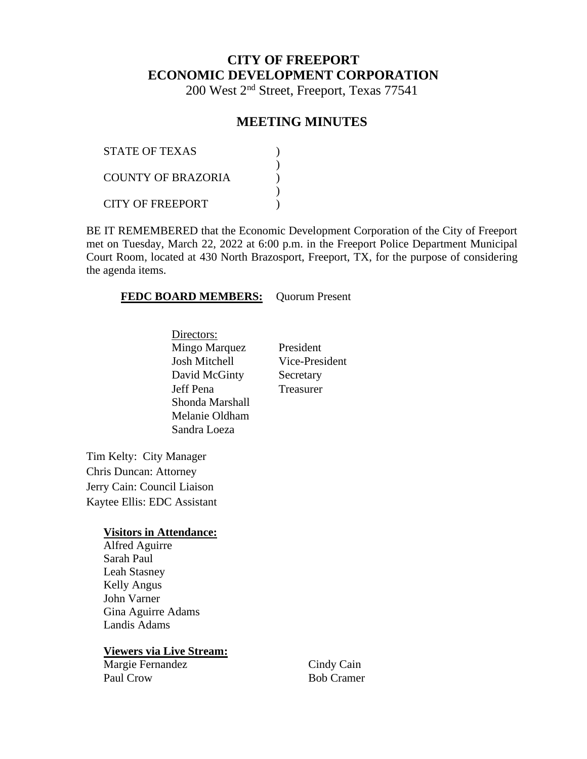# **CITY OF FREEPORT ECONOMIC DEVELOPMENT CORPORATION**

200 West 2nd Street, Freeport, Texas 77541

## **MEETING MINUTES**

| <b>STATE OF TEXAS</b>   |  |
|-------------------------|--|
| COUNTY OF BRAZORIA      |  |
| <b>CITY OF FREEPORT</b> |  |

BE IT REMEMBERED that the Economic Development Corporation of the City of Freeport met on Tuesday, March 22, 2022 at 6:00 p.m. in the Freeport Police Department Municipal Court Room, located at 430 North Brazosport, Freeport, TX, for the purpose of considering the agenda items.

#### **FEDC BOARD MEMBERS:** Quorum Present

Directors: Mingo Marquez President Josh Mitchell Vice-President David McGinty Secretary Jeff Pena Treasurer Shonda Marshall Melanie Oldham Sandra Loeza

Tim Kelty: City Manager Chris Duncan: Attorney Jerry Cain: Council Liaison Kaytee Ellis: EDC Assistant

#### **Visitors in Attendance:**

Alfred Aguirre Sarah Paul Leah Stasney Kelly Angus John Varner Gina Aguirre Adams Landis Adams

#### **Viewers via Live Stream:**

Margie Fernandez Paul Crow

Cindy Cain Bob Cramer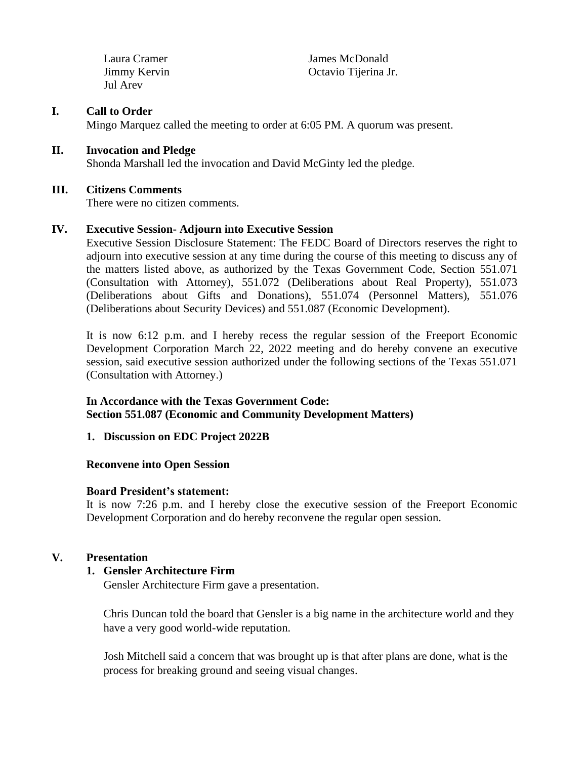Laura Cramer Jimmy Kervin Jul Arev

James McDonald Octavio Tijerina Jr.

#### **I. Call to Order**

Mingo Marquez called the meeting to order at 6:05 PM. A quorum was present.

#### **II. Invocation and Pledge**

Shonda Marshall led the invocation and David McGinty led the pledge.

#### **III. Citizens Comments**

There were no citizen comments.

#### **IV. Executive Session- Adjourn into Executive Session**

Executive Session Disclosure Statement: The FEDC Board of Directors reserves the right to adjourn into executive session at any time during the course of this meeting to discuss any of the matters listed above, as authorized by the Texas Government Code, Section 551.071 (Consultation with Attorney), 551.072 (Deliberations about Real Property), 551.073 (Deliberations about Gifts and Donations), 551.074 (Personnel Matters), 551.076 (Deliberations about Security Devices) and 551.087 (Economic Development).

It is now 6:12 p.m. and I hereby recess the regular session of the Freeport Economic Development Corporation March 22, 2022 meeting and do hereby convene an executive session, said executive session authorized under the following sections of the Texas 551.071 (Consultation with Attorney.)

#### **In Accordance with the Texas Government Code: Section 551.087 (Economic and Community Development Matters)**

#### **1. Discussion on EDC Project 2022B**

#### **Reconvene into Open Session**

#### **Board President's statement:**

It is now 7:26 p.m. and I hereby close the executive session of the Freeport Economic Development Corporation and do hereby reconvene the regular open session.

#### **V. Presentation**

#### **1. Gensler Architecture Firm**

Gensler Architecture Firm gave a presentation.

Chris Duncan told the board that Gensler is a big name in the architecture world and they have a very good world-wide reputation.

Josh Mitchell said a concern that was brought up is that after plans are done, what is the process for breaking ground and seeing visual changes.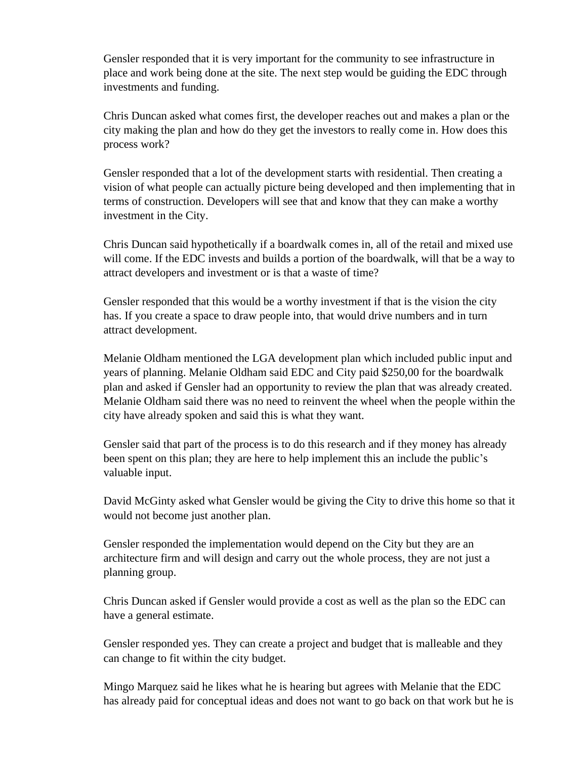Gensler responded that it is very important for the community to see infrastructure in place and work being done at the site. The next step would be guiding the EDC through investments and funding.

Chris Duncan asked what comes first, the developer reaches out and makes a plan or the city making the plan and how do they get the investors to really come in. How does this process work?

Gensler responded that a lot of the development starts with residential. Then creating a vision of what people can actually picture being developed and then implementing that in terms of construction. Developers will see that and know that they can make a worthy investment in the City.

Chris Duncan said hypothetically if a boardwalk comes in, all of the retail and mixed use will come. If the EDC invests and builds a portion of the boardwalk, will that be a way to attract developers and investment or is that a waste of time?

Gensler responded that this would be a worthy investment if that is the vision the city has. If you create a space to draw people into, that would drive numbers and in turn attract development.

Melanie Oldham mentioned the LGA development plan which included public input and years of planning. Melanie Oldham said EDC and City paid \$250,00 for the boardwalk plan and asked if Gensler had an opportunity to review the plan that was already created. Melanie Oldham said there was no need to reinvent the wheel when the people within the city have already spoken and said this is what they want.

Gensler said that part of the process is to do this research and if they money has already been spent on this plan; they are here to help implement this an include the public's valuable input.

David McGinty asked what Gensler would be giving the City to drive this home so that it would not become just another plan.

Gensler responded the implementation would depend on the City but they are an architecture firm and will design and carry out the whole process, they are not just a planning group.

Chris Duncan asked if Gensler would provide a cost as well as the plan so the EDC can have a general estimate.

Gensler responded yes. They can create a project and budget that is malleable and they can change to fit within the city budget.

Mingo Marquez said he likes what he is hearing but agrees with Melanie that the EDC has already paid for conceptual ideas and does not want to go back on that work but he is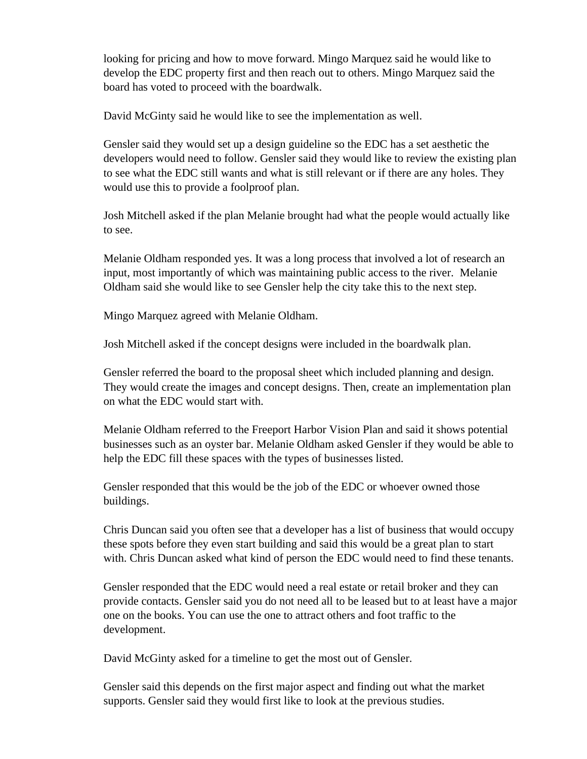looking for pricing and how to move forward. Mingo Marquez said he would like to develop the EDC property first and then reach out to others. Mingo Marquez said the board has voted to proceed with the boardwalk.

David McGinty said he would like to see the implementation as well.

Gensler said they would set up a design guideline so the EDC has a set aesthetic the developers would need to follow. Gensler said they would like to review the existing plan to see what the EDC still wants and what is still relevant or if there are any holes. They would use this to provide a foolproof plan.

Josh Mitchell asked if the plan Melanie brought had what the people would actually like to see.

Melanie Oldham responded yes. It was a long process that involved a lot of research an input, most importantly of which was maintaining public access to the river. Melanie Oldham said she would like to see Gensler help the city take this to the next step.

Mingo Marquez agreed with Melanie Oldham.

Josh Mitchell asked if the concept designs were included in the boardwalk plan.

Gensler referred the board to the proposal sheet which included planning and design. They would create the images and concept designs. Then, create an implementation plan on what the EDC would start with.

Melanie Oldham referred to the Freeport Harbor Vision Plan and said it shows potential businesses such as an oyster bar. Melanie Oldham asked Gensler if they would be able to help the EDC fill these spaces with the types of businesses listed.

Gensler responded that this would be the job of the EDC or whoever owned those buildings.

Chris Duncan said you often see that a developer has a list of business that would occupy these spots before they even start building and said this would be a great plan to start with. Chris Duncan asked what kind of person the EDC would need to find these tenants.

Gensler responded that the EDC would need a real estate or retail broker and they can provide contacts. Gensler said you do not need all to be leased but to at least have a major one on the books. You can use the one to attract others and foot traffic to the development.

David McGinty asked for a timeline to get the most out of Gensler.

Gensler said this depends on the first major aspect and finding out what the market supports. Gensler said they would first like to look at the previous studies.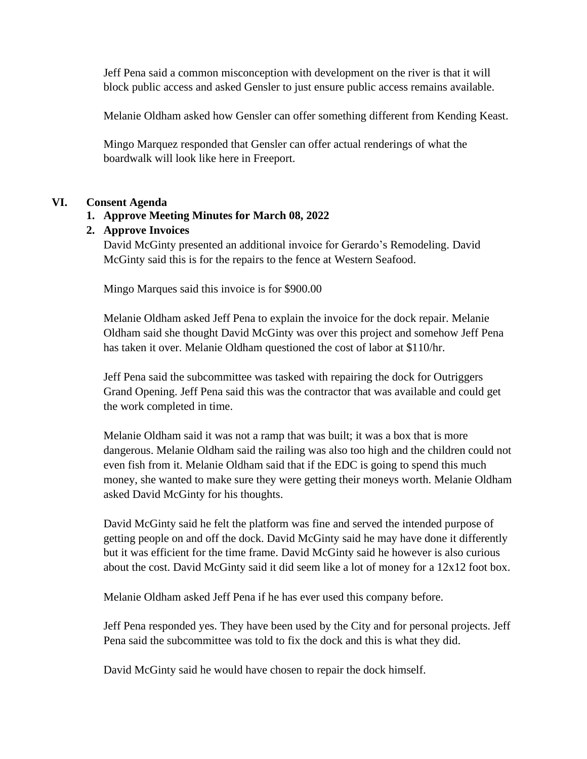Jeff Pena said a common misconception with development on the river is that it will block public access and asked Gensler to just ensure public access remains available.

Melanie Oldham asked how Gensler can offer something different from Kending Keast.

Mingo Marquez responded that Gensler can offer actual renderings of what the boardwalk will look like here in Freeport.

#### **VI. Consent Agenda**

### **1. Approve Meeting Minutes for March 08, 2022**

### **2. Approve Invoices**

David McGinty presented an additional invoice for Gerardo's Remodeling. David McGinty said this is for the repairs to the fence at Western Seafood.

Mingo Marques said this invoice is for \$900.00

Melanie Oldham asked Jeff Pena to explain the invoice for the dock repair. Melanie Oldham said she thought David McGinty was over this project and somehow Jeff Pena has taken it over. Melanie Oldham questioned the cost of labor at \$110/hr.

Jeff Pena said the subcommittee was tasked with repairing the dock for Outriggers Grand Opening. Jeff Pena said this was the contractor that was available and could get the work completed in time.

Melanie Oldham said it was not a ramp that was built; it was a box that is more dangerous. Melanie Oldham said the railing was also too high and the children could not even fish from it. Melanie Oldham said that if the EDC is going to spend this much money, she wanted to make sure they were getting their moneys worth. Melanie Oldham asked David McGinty for his thoughts.

David McGinty said he felt the platform was fine and served the intended purpose of getting people on and off the dock. David McGinty said he may have done it differently but it was efficient for the time frame. David McGinty said he however is also curious about the cost. David McGinty said it did seem like a lot of money for a 12x12 foot box.

Melanie Oldham asked Jeff Pena if he has ever used this company before.

Jeff Pena responded yes. They have been used by the City and for personal projects. Jeff Pena said the subcommittee was told to fix the dock and this is what they did.

David McGinty said he would have chosen to repair the dock himself.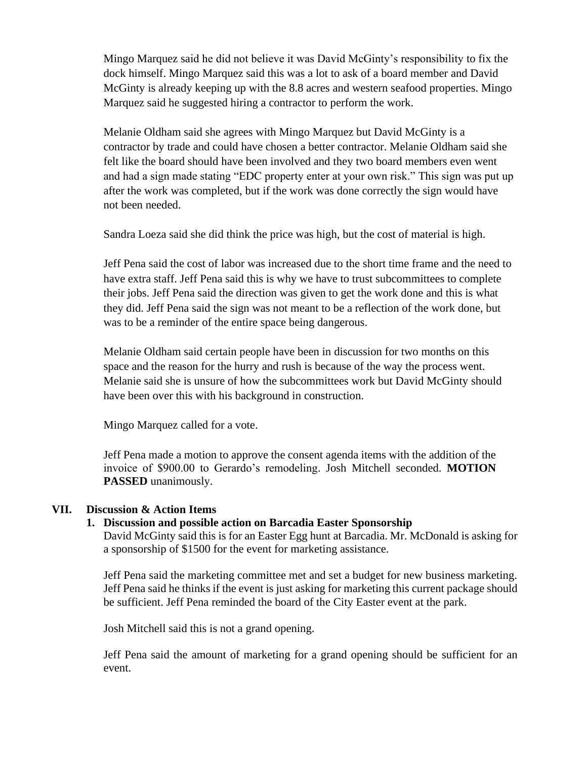Mingo Marquez said he did not believe it was David McGinty's responsibility to fix the dock himself. Mingo Marquez said this was a lot to ask of a board member and David McGinty is already keeping up with the 8.8 acres and western seafood properties. Mingo Marquez said he suggested hiring a contractor to perform the work.

Melanie Oldham said she agrees with Mingo Marquez but David McGinty is a contractor by trade and could have chosen a better contractor. Melanie Oldham said she felt like the board should have been involved and they two board members even went and had a sign made stating "EDC property enter at your own risk." This sign was put up after the work was completed, but if the work was done correctly the sign would have not been needed.

Sandra Loeza said she did think the price was high, but the cost of material is high.

Jeff Pena said the cost of labor was increased due to the short time frame and the need to have extra staff. Jeff Pena said this is why we have to trust subcommittees to complete their jobs. Jeff Pena said the direction was given to get the work done and this is what they did. Jeff Pena said the sign was not meant to be a reflection of the work done, but was to be a reminder of the entire space being dangerous.

Melanie Oldham said certain people have been in discussion for two months on this space and the reason for the hurry and rush is because of the way the process went. Melanie said she is unsure of how the subcommittees work but David McGinty should have been over this with his background in construction.

Mingo Marquez called for a vote.

Jeff Pena made a motion to approve the consent agenda items with the addition of the invoice of \$900.00 to Gerardo's remodeling. Josh Mitchell seconded. **MOTION PASSED** unanimously.

#### **VII. Discussion & Action Items**

#### **1. Discussion and possible action on Barcadia Easter Sponsorship**

David McGinty said this is for an Easter Egg hunt at Barcadia. Mr. McDonald is asking for a sponsorship of \$1500 for the event for marketing assistance.

Jeff Pena said the marketing committee met and set a budget for new business marketing. Jeff Pena said he thinks if the event is just asking for marketing this current package should be sufficient. Jeff Pena reminded the board of the City Easter event at the park.

Josh Mitchell said this is not a grand opening.

Jeff Pena said the amount of marketing for a grand opening should be sufficient for an event.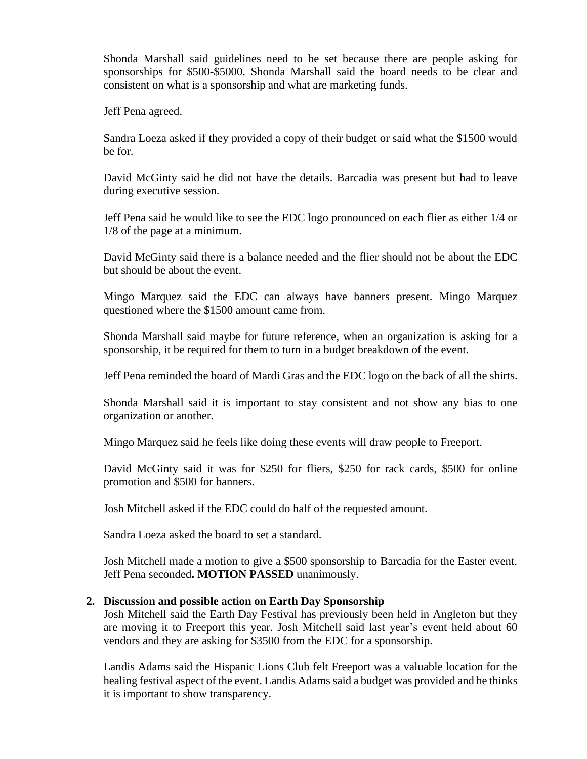Shonda Marshall said guidelines need to be set because there are people asking for sponsorships for \$500-\$5000. Shonda Marshall said the board needs to be clear and consistent on what is a sponsorship and what are marketing funds.

Jeff Pena agreed.

Sandra Loeza asked if they provided a copy of their budget or said what the \$1500 would be for.

David McGinty said he did not have the details. Barcadia was present but had to leave during executive session.

Jeff Pena said he would like to see the EDC logo pronounced on each flier as either 1/4 or 1/8 of the page at a minimum.

David McGinty said there is a balance needed and the flier should not be about the EDC but should be about the event.

Mingo Marquez said the EDC can always have banners present. Mingo Marquez questioned where the \$1500 amount came from.

Shonda Marshall said maybe for future reference, when an organization is asking for a sponsorship, it be required for them to turn in a budget breakdown of the event.

Jeff Pena reminded the board of Mardi Gras and the EDC logo on the back of all the shirts.

Shonda Marshall said it is important to stay consistent and not show any bias to one organization or another.

Mingo Marquez said he feels like doing these events will draw people to Freeport.

David McGinty said it was for \$250 for fliers, \$250 for rack cards, \$500 for online promotion and \$500 for banners.

Josh Mitchell asked if the EDC could do half of the requested amount.

Sandra Loeza asked the board to set a standard.

Josh Mitchell made a motion to give a \$500 sponsorship to Barcadia for the Easter event. Jeff Pena seconded**. MOTION PASSED** unanimously.

#### **2. Discussion and possible action on Earth Day Sponsorship**

Josh Mitchell said the Earth Day Festival has previously been held in Angleton but they are moving it to Freeport this year. Josh Mitchell said last year's event held about 60 vendors and they are asking for \$3500 from the EDC for a sponsorship.

Landis Adams said the Hispanic Lions Club felt Freeport was a valuable location for the healing festival aspect of the event. Landis Adams said a budget was provided and he thinks it is important to show transparency.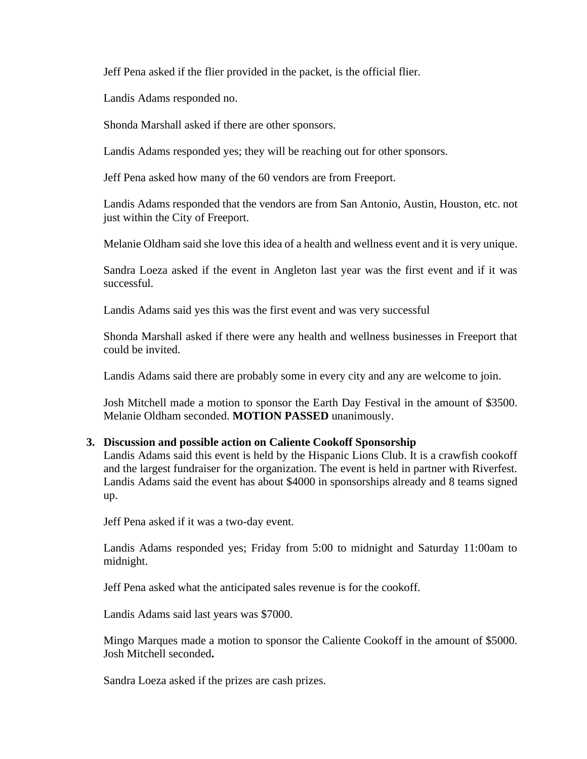Jeff Pena asked if the flier provided in the packet, is the official flier.

Landis Adams responded no.

Shonda Marshall asked if there are other sponsors.

Landis Adams responded yes; they will be reaching out for other sponsors.

Jeff Pena asked how many of the 60 vendors are from Freeport.

Landis Adams responded that the vendors are from San Antonio, Austin, Houston, etc. not just within the City of Freeport.

Melanie Oldham said she love this idea of a health and wellness event and it is very unique.

Sandra Loeza asked if the event in Angleton last year was the first event and if it was successful.

Landis Adams said yes this was the first event and was very successful

Shonda Marshall asked if there were any health and wellness businesses in Freeport that could be invited.

Landis Adams said there are probably some in every city and any are welcome to join.

Josh Mitchell made a motion to sponsor the Earth Day Festival in the amount of \$3500. Melanie Oldham seconded. **MOTION PASSED** unanimously.

## **3. Discussion and possible action on Caliente Cookoff Sponsorship**

Landis Adams said this event is held by the Hispanic Lions Club. It is a crawfish cookoff and the largest fundraiser for the organization. The event is held in partner with Riverfest. Landis Adams said the event has about \$4000 in sponsorships already and 8 teams signed up.

Jeff Pena asked if it was a two-day event.

Landis Adams responded yes; Friday from 5:00 to midnight and Saturday 11:00am to midnight.

Jeff Pena asked what the anticipated sales revenue is for the cookoff.

Landis Adams said last years was \$7000.

Mingo Marques made a motion to sponsor the Caliente Cookoff in the amount of \$5000. Josh Mitchell seconded**.**

Sandra Loeza asked if the prizes are cash prizes.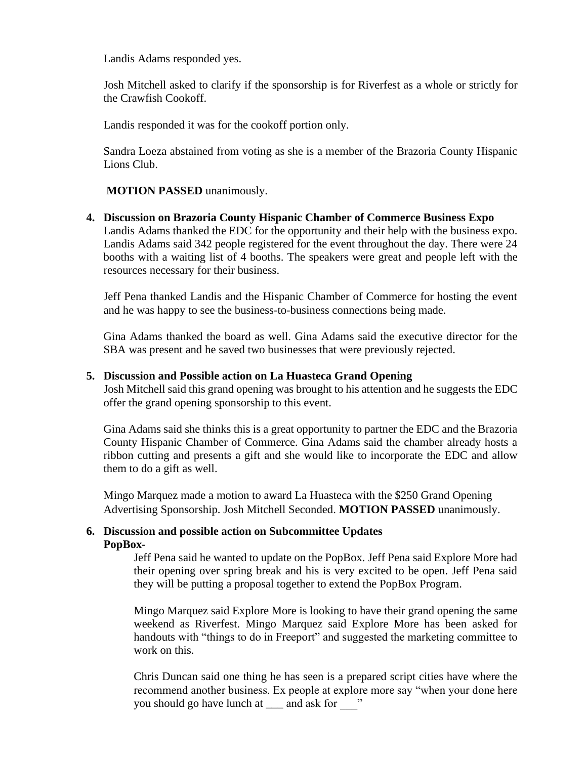Landis Adams responded yes.

Josh Mitchell asked to clarify if the sponsorship is for Riverfest as a whole or strictly for the Crawfish Cookoff.

Landis responded it was for the cookoff portion only.

Sandra Loeza abstained from voting as she is a member of the Brazoria County Hispanic Lions Club.

#### **MOTION PASSED** unanimously.

**4. Discussion on Brazoria County Hispanic Chamber of Commerce Business Expo** Landis Adams thanked the EDC for the opportunity and their help with the business expo. Landis Adams said 342 people registered for the event throughout the day. There were 24 booths with a waiting list of 4 booths. The speakers were great and people left with the resources necessary for their business.

Jeff Pena thanked Landis and the Hispanic Chamber of Commerce for hosting the event and he was happy to see the business-to-business connections being made.

Gina Adams thanked the board as well. Gina Adams said the executive director for the SBA was present and he saved two businesses that were previously rejected.

#### **5. Discussion and Possible action on La Huasteca Grand Opening**

Josh Mitchell said this grand opening was brought to his attention and he suggests the EDC offer the grand opening sponsorship to this event.

Gina Adams said she thinks this is a great opportunity to partner the EDC and the Brazoria County Hispanic Chamber of Commerce. Gina Adams said the chamber already hosts a ribbon cutting and presents a gift and she would like to incorporate the EDC and allow them to do a gift as well.

Mingo Marquez made a motion to award La Huasteca with the \$250 Grand Opening Advertising Sponsorship. Josh Mitchell Seconded. **MOTION PASSED** unanimously.

#### **6. Discussion and possible action on Subcommittee Updates PopBox-**

Jeff Pena said he wanted to update on the PopBox. Jeff Pena said Explore More had their opening over spring break and his is very excited to be open. Jeff Pena said they will be putting a proposal together to extend the PopBox Program.

Mingo Marquez said Explore More is looking to have their grand opening the same weekend as Riverfest. Mingo Marquez said Explore More has been asked for handouts with "things to do in Freeport" and suggested the marketing committee to work on this.

Chris Duncan said one thing he has seen is a prepared script cities have where the recommend another business. Ex people at explore more say "when your done here you should go have lunch at \_\_\_\_ and ask for  $\cdot$  "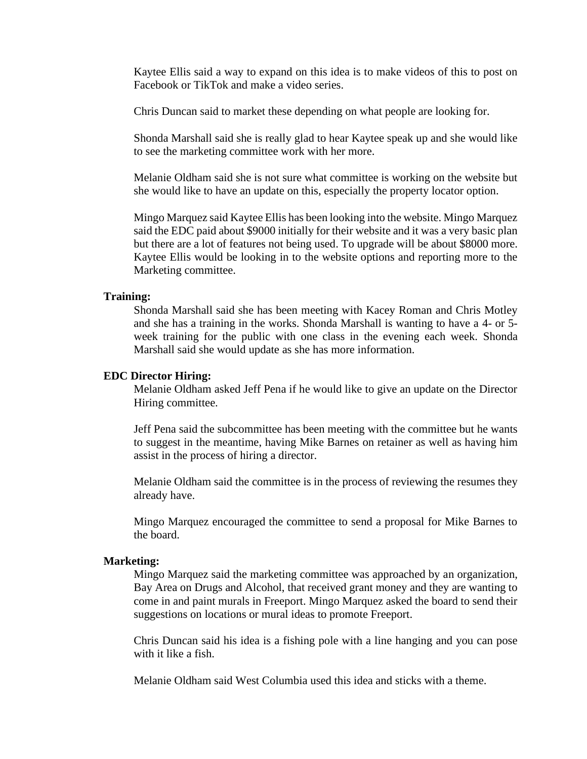Kaytee Ellis said a way to expand on this idea is to make videos of this to post on Facebook or TikTok and make a video series.

Chris Duncan said to market these depending on what people are looking for.

Shonda Marshall said she is really glad to hear Kaytee speak up and she would like to see the marketing committee work with her more.

Melanie Oldham said she is not sure what committee is working on the website but she would like to have an update on this, especially the property locator option.

Mingo Marquez said Kaytee Ellis has been looking into the website. Mingo Marquez said the EDC paid about \$9000 initially for their website and it was a very basic plan but there are a lot of features not being used. To upgrade will be about \$8000 more. Kaytee Ellis would be looking in to the website options and reporting more to the Marketing committee.

#### **Training:**

Shonda Marshall said she has been meeting with Kacey Roman and Chris Motley and she has a training in the works. Shonda Marshall is wanting to have a 4- or 5 week training for the public with one class in the evening each week. Shonda Marshall said she would update as she has more information.

#### **EDC Director Hiring:**

Melanie Oldham asked Jeff Pena if he would like to give an update on the Director Hiring committee.

Jeff Pena said the subcommittee has been meeting with the committee but he wants to suggest in the meantime, having Mike Barnes on retainer as well as having him assist in the process of hiring a director.

Melanie Oldham said the committee is in the process of reviewing the resumes they already have.

Mingo Marquez encouraged the committee to send a proposal for Mike Barnes to the board.

#### **Marketing:**

Mingo Marquez said the marketing committee was approached by an organization, Bay Area on Drugs and Alcohol, that received grant money and they are wanting to come in and paint murals in Freeport. Mingo Marquez asked the board to send their suggestions on locations or mural ideas to promote Freeport.

Chris Duncan said his idea is a fishing pole with a line hanging and you can pose with it like a fish.

Melanie Oldham said West Columbia used this idea and sticks with a theme.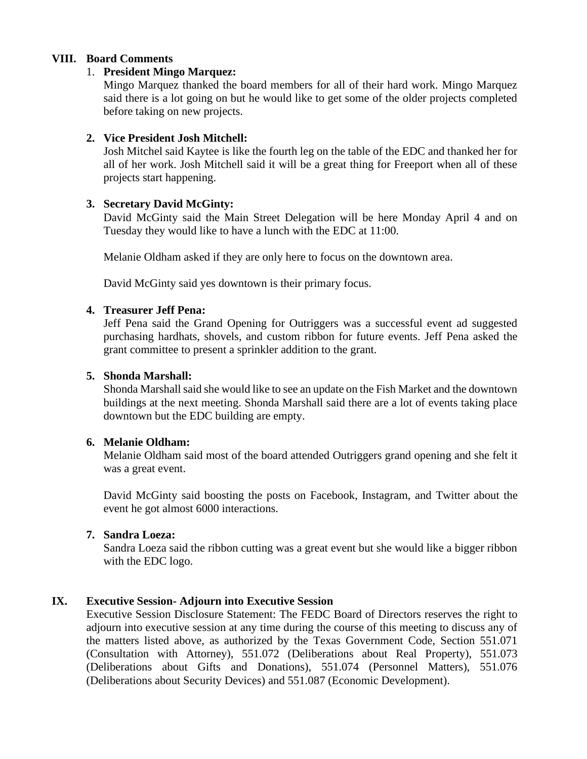### **VIII. Board Comments**

#### 1. **President Mingo Marquez:**

Mingo Marquez thanked the board members for all of their hard work. Mingo Marquez said there is a lot going on but he would like to get some of the older projects completed before taking on new projects.

### **2. Vice President Josh Mitchell:**

Josh Mitchel said Kaytee is like the fourth leg on the table of the EDC and thanked her for all of her work. Josh Mitchell said it will be a great thing for Freeport when all of these projects start happening.

### **3. Secretary David McGinty:**

David McGinty said the Main Street Delegation will be here Monday April 4 and on Tuesday they would like to have a lunch with the EDC at 11:00.

Melanie Oldham asked if they are only here to focus on the downtown area.

David McGinty said yes downtown is their primary focus.

### **4. Treasurer Jeff Pena:**

Jeff Pena said the Grand Opening for Outriggers was a successful event ad suggested purchasing hardhats, shovels, and custom ribbon for future events. Jeff Pena asked the grant committee to present a sprinkler addition to the grant.

#### **5. Shonda Marshall:**

Shonda Marshall said she would like to see an update on the Fish Market and the downtown buildings at the next meeting. Shonda Marshall said there are a lot of events taking place downtown but the EDC building are empty.

### **6. Melanie Oldham:**

Melanie Oldham said most of the board attended Outriggers grand opening and she felt it was a great event.

David McGinty said boosting the posts on Facebook, Instagram, and Twitter about the event he got almost 6000 interactions.

#### **7. Sandra Loeza:**

Sandra Loeza said the ribbon cutting was a great event but she would like a bigger ribbon with the EDC logo.

## **IX. Executive Session- Adjourn into Executive Session**

Executive Session Disclosure Statement: The FEDC Board of Directors reserves the right to adjourn into executive session at any time during the course of this meeting to discuss any of the matters listed above, as authorized by the Texas Government Code, Section 551.071 (Consultation with Attorney), 551.072 (Deliberations about Real Property), 551.073 (Deliberations about Gifts and Donations), 551.074 (Personnel Matters), 551.076 (Deliberations about Security Devices) and 551.087 (Economic Development).